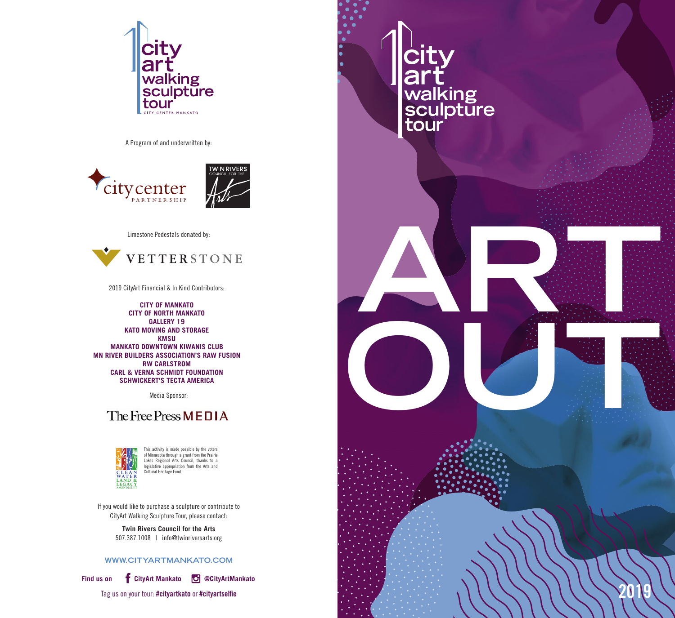

A Program of and underwritten by:



Limestone Pedestals donated by:



**ARTICLE** 

**Crice<br>
walking<br>
sculpture<br>
tour** 

**OUT** 

**2019**

2019 CityArt Financial & In Kind Contributors:

**CITY OF MANKATO CITY OF NORTH MANKATO GALLERY 19 KATO MOVING AND STORAGE KMSU MANKATO DOWNTOWN KIWANIS CLUB MN RIVER BUILDERS ASSOCIATION'S RAW FUSION RW CARLSTROM CARL & VERNA SCHMIDT FOUNDATION SCHWICKERT'S TECTA AMERICA**

Media Sponsor:

## The Free Press MEDIA



This activity is made possible by the voters of Minnesota through a grant from the Prairie Lakes Regional Arts Council, thanks to a legislative appropriation from the Arts and Cultural Heritage Fund.

If you would like to purchase a sculpture or contribute to CityArt Walking Sculpture Tour, please contact:

> **Twin Rivers Council for the Arts** 507.387.1008 | info@twinriversarts.org

## **WWW.CITYARTMANKATO.COM**



**Find us on CityArt Mankato @CityArtMankato**

Tag us on your tour: **#cityartkato** or **#cityartselfie**